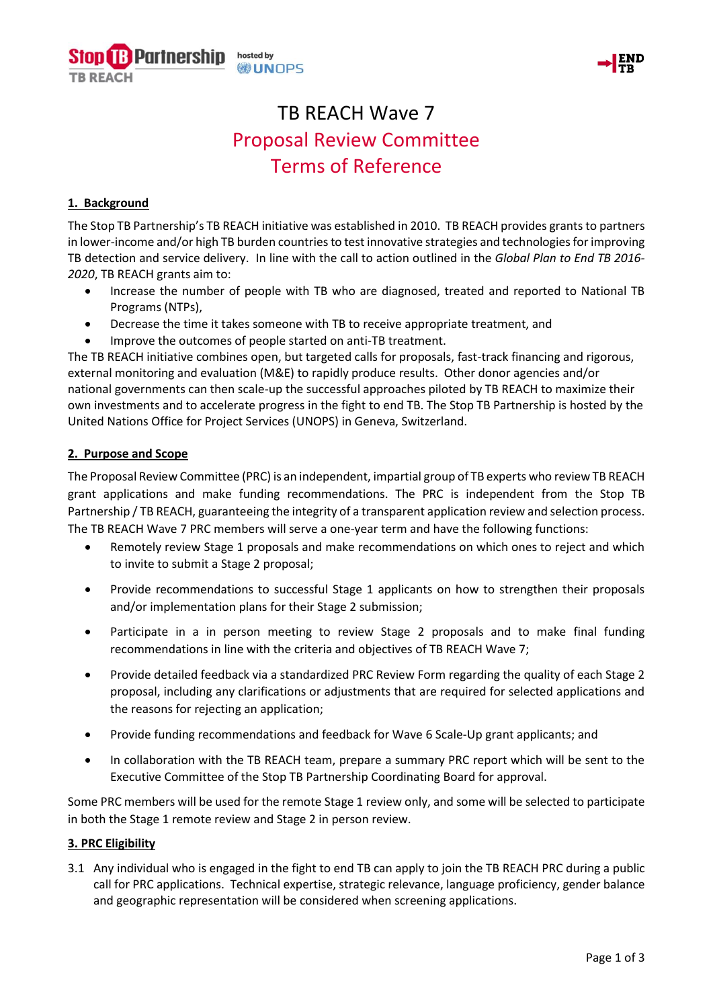



# TB REACH Wave 7 Proposal Review Committee Terms of Reference

# **1. Background**

The Stop TB Partnership's TB REACH initiative was established in 2010. TB REACH provides grants to partners in lower-income and/or high TB burden countries to test innovative strategies and technologies for improving TB detection and service delivery. In line with the call to action outlined in the *Global Plan to End TB 2016- 2020*, TB REACH grants aim to:

- Increase the number of people with TB who are diagnosed, treated and reported to National TB Programs (NTPs),
- Decrease the time it takes someone with TB to receive appropriate treatment, and
- Improve the outcomes of people started on anti-TB treatment.

The TB REACH initiative combines open, but targeted calls for proposals, fast-track financing and rigorous, external monitoring and evaluation (M&E) to rapidly produce results. Other donor agencies and/or national governments can then scale-up the successful approaches piloted by TB REACH to maximize their own investments and to accelerate progress in the fight to end TB. The Stop TB Partnership is hosted by the United Nations Office for Project Services (UNOPS) in Geneva, Switzerland.

# **2. Purpose and Scope**

The Proposal Review Committee (PRC) is an independent, impartial group of TB experts who review TB REACH grant applications and make funding recommendations. The PRC is independent from the Stop TB Partnership / TB REACH, guaranteeing the integrity of a transparent application review and selection process. The TB REACH Wave 7 PRC members will serve a one-year term and have the following functions:

- Remotely review Stage 1 proposals and make recommendations on which ones to reject and which to invite to submit a Stage 2 proposal;
- Provide recommendations to successful Stage 1 applicants on how to strengthen their proposals and/or implementation plans for their Stage 2 submission;
- Participate in a in person meeting to review Stage 2 proposals and to make final funding recommendations in line with the criteria and objectives of TB REACH Wave 7;
- Provide detailed feedback via a standardized PRC Review Form regarding the quality of each Stage 2 proposal, including any clarifications or adjustments that are required for selected applications and the reasons for rejecting an application;
- Provide funding recommendations and feedback for Wave 6 Scale-Up grant applicants; and
- In collaboration with the TB REACH team, prepare a summary PRC report which will be sent to the Executive Committee of the Stop TB Partnership Coordinating Board for approval.

Some PRC members will be used for the remote Stage 1 review only, and some will be selected to participate in both the Stage 1 remote review and Stage 2 in person review.

## **3. PRC Eligibility**

3.1 Any individual who is engaged in the fight to end TB can apply to join the TB REACH PRC during a public call for PRC applications. Technical expertise, strategic relevance, language proficiency, gender balance and geographic representation will be considered when screening applications.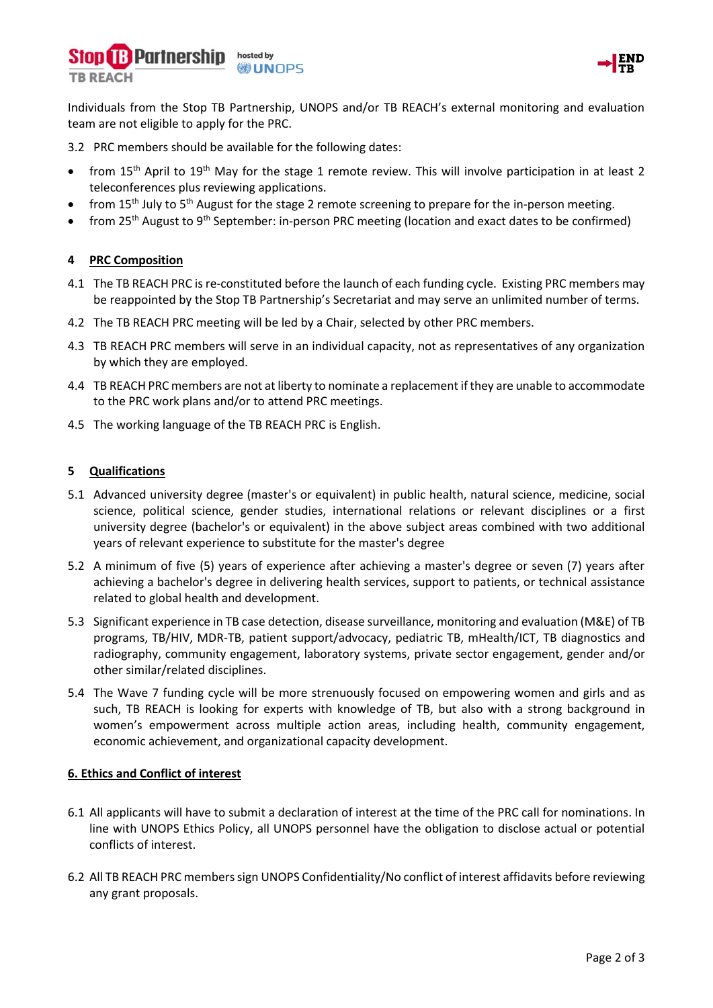



Individuals from the Stop TB Partnership, UNOPS and/or TB REACH's external monitoring and evaluation team are not eligible to apply for the PRC.

3.2 PRC members should be available for the following dates:

- from 15<sup>th</sup> April to 19<sup>th</sup> May for the stage 1 remote review. This will involve participation in at least 2 teleconferences plus reviewing applications.
- from 15<sup>th</sup> July to 5<sup>th</sup> August for the stage 2 remote screening to prepare for the in-person meeting.
- from 25<sup>th</sup> August to 9<sup>th</sup> September: in-person PRC meeting (location and exact dates to be confirmed)

# **4 PRC Composition**

- 4.1 The TB REACH PRC is re-constituted before the launch of each funding cycle. Existing PRC members may be reappointed by the Stop TB Partnership's Secretariat and may serve an unlimited number of terms.
- 4.2 The TB REACH PRC meeting will be led by a Chair, selected by other PRC members.
- 4.3 TB REACH PRC members will serve in an individual capacity, not as representatives of any organization by which they are employed.
- 4.4 TB REACH PRC members are not at liberty to nominate a replacement if they are unable to accommodate to the PRC work plans and/or to attend PRC meetings.
- 4.5 The working language of the TB REACH PRC is English.

#### **5 Qualifications**

- 5.1 Advanced university degree (master's or equivalent) in public health, natural science, medicine, social science, political science, gender studies, international relations or relevant disciplines or a first university degree (bachelor's or equivalent) in the above subject areas combined with two additional years of relevant experience to substitute for the master's degree
- 5.2 A minimum of five (5) years of experience after achieving a master's degree or seven (7) years after achieving a bachelor's degree in delivering health services, support to patients, or technical assistance related to global health and development.
- 5.3 Significant experience in TB case detection, disease surveillance, monitoring and evaluation (M&E) of TB programs, TB/HIV, MDR-TB, patient support/advocacy, pediatric TB, mHealth/ICT, TB diagnostics and radiography, community engagement, laboratory systems, private sector engagement, gender and/or other similar/related disciplines.
- 5.4 The Wave 7 funding cycle will be more strenuously focused on empowering women and girls and as such, TB REACH is looking for experts with knowledge of TB, but also with a strong background in women's empowerment across multiple action areas, including health, community engagement, economic achievement, and organizational capacity development.

## **6. Ethics and Conflict of interest**

- 6.1 All applicants will have to submit a declaration of interest at the time of the PRC call for nominations. In line with UNOPS Ethics Policy, all UNOPS personnel have the obligation to disclose actual or potential conflicts of interest.
- 6.2 All TB REACH PRC members sign UNOPS Confidentiality/No conflict of interest affidavits before reviewing any grant proposals.